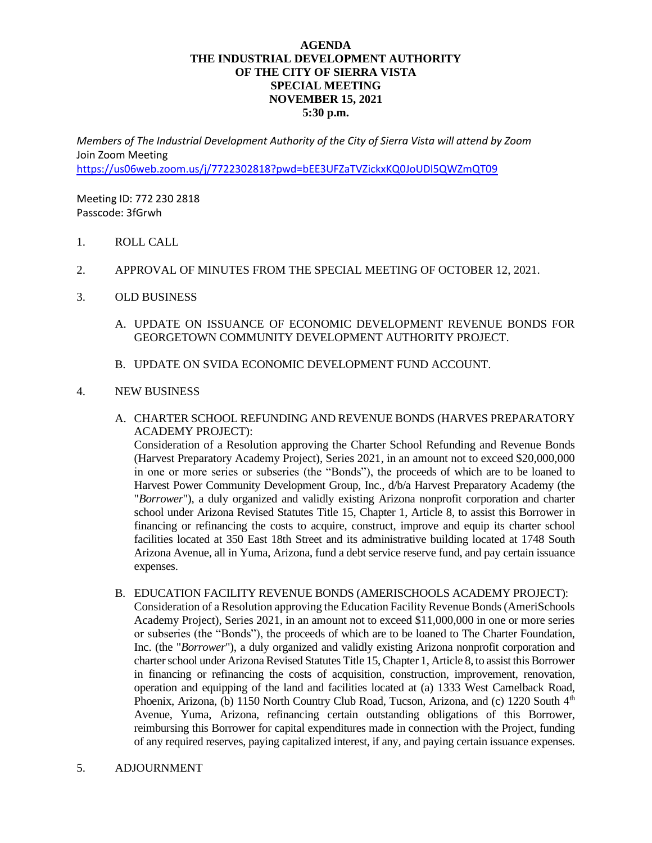## **AGENDA THE INDUSTRIAL DEVELOPMENT AUTHORITY OF THE CITY OF SIERRA VISTA SPECIAL MEETING NOVEMBER 15, 2021 5:30 p.m.**

*Members of The Industrial Development Authority of the City of Sierra Vista will attend by Zoom* Join Zoom Meeting <https://us06web.zoom.us/j/7722302818?pwd=bEE3UFZaTVZickxKQ0JoUDl5QWZmQT09>

Meeting ID: 772 230 2818 Passcode: 3fGrwh

- 1. ROLL CALL
- 2. APPROVAL OF MINUTES FROM THE SPECIAL MEETING OF OCTOBER 12, 2021.
- 3. OLD BUSINESS
	- A. UPDATE ON ISSUANCE OF ECONOMIC DEVELOPMENT REVENUE BONDS FOR GEORGETOWN COMMUNITY DEVELOPMENT AUTHORITY PROJECT.
	- B. UPDATE ON SVIDA ECONOMIC DEVELOPMENT FUND ACCOUNT.

## 4. NEW BUSINESS

A. CHARTER SCHOOL REFUNDING AND REVENUE BONDS (HARVES PREPARATORY ACADEMY PROJECT):

Consideration of a Resolution approving the Charter School Refunding and Revenue Bonds (Harvest Preparatory Academy Project), Series 2021, in an amount not to exceed \$20,000,000 in one or more series or subseries (the "Bonds"), the proceeds of which are to be loaned to Harvest Power Community Development Group, Inc., d/b/a Harvest Preparatory Academy (the "*Borrower*"), a duly organized and validly existing Arizona nonprofit corporation and charter school under Arizona Revised Statutes Title 15, Chapter 1, Article 8, to assist this Borrower in financing or refinancing the costs to acquire, construct, improve and equip its charter school facilities located at 350 East 18th Street and its administrative building located at 1748 South Arizona Avenue, all in Yuma, Arizona, fund a debt service reserve fund, and pay certain issuance expenses.

- B. EDUCATION FACILITY REVENUE BONDS (AMERISCHOOLS ACADEMY PROJECT): Consideration of a Resolution approving the Education Facility Revenue Bonds (AmeriSchools Academy Project), Series 2021, in an amount not to exceed \$11,000,000 in one or more series or subseries (the "Bonds"), the proceeds of which are to be loaned to The Charter Foundation, Inc. (the "*Borrower*"), a duly organized and validly existing Arizona nonprofit corporation and charter school under Arizona Revised Statutes Title 15, Chapter 1, Article 8, to assist this Borrower in financing or refinancing the costs of acquisition, construction, improvement, renovation, operation and equipping of the land and facilities located at (a) 1333 West Camelback Road, Phoenix, Arizona, (b) 1150 North Country Club Road, Tucson, Arizona, and (c) 1220 South 4<sup>th</sup> Avenue, Yuma, Arizona, refinancing certain outstanding obligations of this Borrower, reimbursing this Borrower for capital expenditures made in connection with the Project, funding of any required reserves, paying capitalized interest, if any, and paying certain issuance expenses.
- 5. ADJOURNMENT